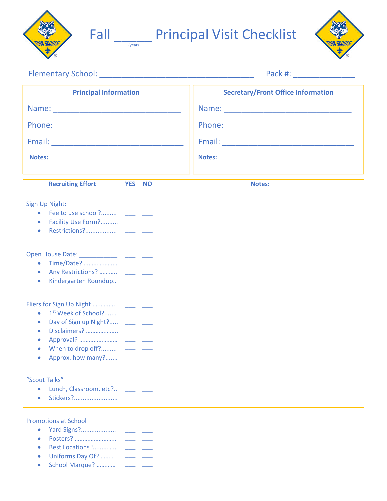



## Fall **Land Principal Visit Checklist**



|  | <b>Elementary School:</b> |  |  |
|--|---------------------------|--|--|
|  |                           |  |  |

Elementary School: \_\_\_\_\_\_\_\_\_\_\_\_\_\_\_\_\_\_\_\_\_\_\_\_\_\_\_\_\_\_\_\_\_\_\_ Pack #: \_\_\_\_\_\_\_\_\_\_\_\_\_\_

| <b>Principal Information</b> | <b>Secretary/Front Office Information</b> |
|------------------------------|-------------------------------------------|
| Name:                        | Name:                                     |
| Phone:                       | Phone:                                    |
| Email:                       | Email:                                    |
| <b>Notes:</b>                | <b>Notes:</b>                             |
|                              |                                           |

| <b>Recruiting Effort</b>                                                                                                                                                                           | <b>YES</b> | <b>NO</b> | <b>Notes:</b> |
|----------------------------------------------------------------------------------------------------------------------------------------------------------------------------------------------------|------------|-----------|---------------|
| Sign Up Night: _____________<br>Fee to use school?<br>$\bullet$<br>Facility Use Form?<br>Restrictions?<br>$\bullet$                                                                                |            |           |               |
| Open House Date: ___________<br>Time/Date?<br>$\bullet$<br>Any Restrictions?<br>$\bullet$<br>Kindergarten Roundup<br>$\bullet$                                                                     |            |           |               |
| Fliers for Sign Up Night<br>1 <sup>st</sup> Week of School?<br>$\bullet$<br>Day of Sign up Night?<br>$\bullet$<br>Disclaimers?<br>$\bullet$<br>Approval?<br>When to drop off?<br>Approx. how many? |            |           |               |
| "Scout Talks"<br>Lunch, Classroom, etc?<br>$\bullet$<br>Stickers?<br>$\bullet$                                                                                                                     |            |           |               |
| <b>Promotions at School</b><br>Yard Signs?<br>$\bullet$<br>Posters?<br>$\bullet$<br>Best Locations?<br>$\bullet$<br>Uniforms Day Of?<br>$\bullet$<br>School Marque?                                |            |           |               |